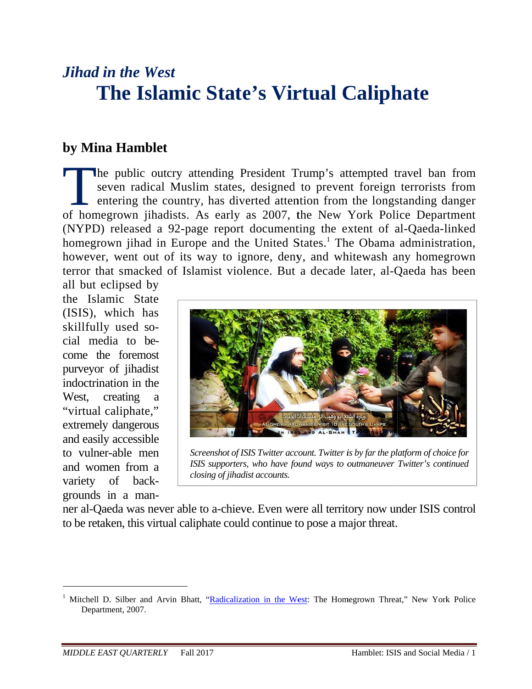# *Jihad d in the W West* **The Islamic State's Virtual Caliphate**

## **by Mina Hamblet**

he public outcry attending President Trump's attempted travel ban from seven radical Muslim states, designed to prevent foreign terrorists from entering the country, has diverted attention from the longstanding danger The public outcry attending President Trump's attempted travel ban from<br>seven radical Muslim states, designed to prevent foreign terrorists from<br>entering the country, has diverted attention from the longstanding danger<br>of (NYPD) released a 92-page report documenting the extent of al-Qaeda-linked homegrown jihad in Europe and the United States.<sup>1</sup> The Obama administration, however, went out of its way to ignore, deny, and whitewash any homegrown terror that smacked of Islamist violence. But a decade later, al-Qaeda has been

all but eclipsed b by the Islamic State (ISIS), which h as skillful ly used s ocial media to become the foremost purveyor of jihadist indoctrination in the West, creating "virtual caliphate," extremely dangerous and easily accessible to vulner-able men and wo men from a variety of bac kgrounds in a mana



*Sc reenshot of ISI SIS Twitter acc count. Twitter i is by far the pl latform of choi ice for* ISIS supporters, who have found ways to outmaneuver Twitter's continued *closing of jihadist accounts.* 

ner al-Qaeda was never able to a-chieve. Even were all territory now under ISIS control to be retaken, this virtual caliphate could continue to pose a major threat.

 $\overline{a}$ 

 $\overline{a}$ 

 $\overline{\phantom{a}}$ 

<sup>&</sup>lt;sup>1</sup> Mitchell D. Silber and Arvin Bhatt, "Radicalization in the West: The Homegrown Threat," New York Police Department, 2007.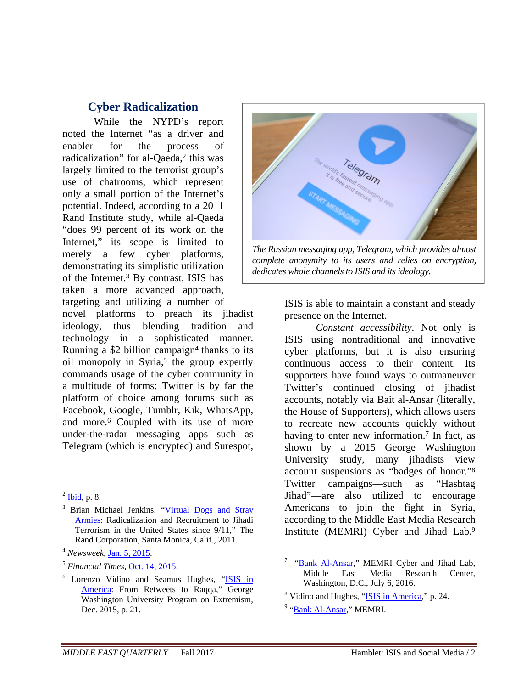### **Cyber Radicalization**

While the NYPD's report noted the Internet "as a driver and enabler for the process of radicalization" for al-Qaeda,<sup>2</sup> this was largely limited to the terrorist group's use of chatrooms, which represent only a small portion of the Internet's potential. Indeed, according to a 2011 Rand Institute study, while al-Qaeda "does 99 percent of its work on the Internet," its scope is limited to merely a few cyber platforms, demonstrating its simplistic utilization of the Internet.3 By contrast, ISIS has taken a more advanced approach, targeting and utilizing a number of

novel platforms to preach its jihadist ideology, thus blending tradition and technology in a sophisticated manner. Running a  $$2$  billion campaign<sup>4</sup> thanks to its oil monopoly in Syria,<sup>5</sup> the group expertly commands usage of the cyber community in a multitude of forms: Twitter is by far the platform of choice among forums such as Facebook, Google, Tumblr, Kik, WhatsApp, and more.6 Coupled with its use of more under-the-radar messaging apps such as Telegram (which is encrypted) and Surespot,

 $\overline{a}$ 



*The Russian messaging app, Telegram, which provides almost complete anonymity to its users and relies on encryption, dedicates whole channels to ISIS and its ideology.*

ISIS is able to maintain a constant and steady presence on the Internet.

*Constant accessibility*. Not only is ISIS using nontraditional and innovative cyber platforms, but it is also ensuring continuous access to their content. Its supporters have found ways to outmaneuver Twitter's continued closing of jihadist accounts, notably via Bait al-Ansar (literally, the House of Supporters), which allows users to recreate new accounts quickly without having to enter new information.<sup>7</sup> In fact, as shown by a 2015 George Washington University study, many jihadists view account suspensions as "badges of honor."8 Twitter campaigns—such as "Hashtag Jihad"—are also utilized to encourage Americans to join the fight in Syria, according to the Middle East Media Research Institute (MEMRI) Cyber and Jihad Lab.9

 $2$  Ibid, p. 8.

<sup>&</sup>lt;sup>3</sup> Brian Michael Jenkins, "Virtual Dogs and Stray Armies: Radicalization and Recruitment to Jihadi Terrorism in the United States since 9/11," The Rand Corporation, Santa Monica, Calif., 2011.

<sup>4</sup> *Newsweek,* Jan. 5, 2015.

<sup>5</sup> *Financial Times,* Oct. 14, 2015.

<sup>&</sup>lt;sup>6</sup> Lorenzo Vidino and Seamus Hughes, "ISIS in America: From Retweets to Raqqa," George Washington University Program on Extremism, Dec. 2015, p. 21.

<sup>&</sup>lt;sup>7</sup> "Bank Al-Ansar," MEMRI Cyber and Jihad Lab, Middle East Media Research Center, Washington, D.C., July 6, 2016.

<sup>&</sup>lt;sup>8</sup> Vidino and Hughes, "ISIS in America," p. 24.

<sup>&</sup>lt;sup>9</sup> "<u>Bank Al-Ansar,</u>" MEMRI.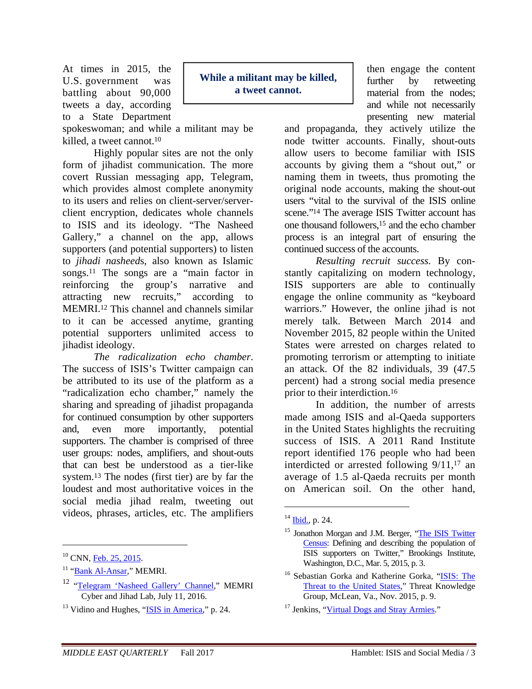At times in 2015, the U.S. government was battling about 90,000 tweets a day, according to a State Department

spokeswoman; and while a militant may be killed, a tweet cannot.<sup>10</sup>

Highly popular sites are not the only form of jihadist communication. The more covert Russian messaging app, Telegram, which provides almost complete anonymity to its users and relies on client-server/serverclient encryption, dedicates whole channels to ISIS and its ideology. "The Nasheed Gallery," a channel on the app, allows supporters (and potential supporters) to listen to *jihadi nasheed*s, also known as Islamic songs.11 The songs are a "main factor in reinforcing the group's narrative and attracting new recruits," according to MEMRI.12 This channel and channels similar to it can be accessed anytime, granting potential supporters unlimited access to jihadist ideology.

*The radicalization echo chamber*. The success of ISIS's Twitter campaign can be attributed to its use of the platform as a "radicalization echo chamber," namely the sharing and spreading of jihadist propaganda for continued consumption by other supporters and, even more importantly, potential supporters. The chamber is comprised of three user groups: nodes, amplifiers, and shout-outs that can best be understood as a tier-like system.13 The nodes (first tier) are by far the loudest and most authoritative voices in the social media jihad realm, tweeting out videos, phrases, articles, etc. The amplifiers

 $\overline{a}$ 

**While a militant may be killed, a tweet cannot.** 

then engage the content further by retweeting material from the nodes; and while not necessarily presenting new material

and propaganda, they actively utilize the node twitter accounts. Finally, shout-outs allow users to become familiar with ISIS accounts by giving them a "shout out," or naming them in tweets, thus promoting the original node accounts, making the shout-out users "vital to the survival of the ISIS online scene."14 The average ISIS Twitter account has one thousand followers,15 and the echo chamber process is an integral part of ensuring the continued success of the accounts.

*Resulting recruit success.* By constantly capitalizing on modern technology, ISIS supporters are able to continually engage the online community as "keyboard warriors." However, the online jihad is not merely talk. Between March 2014 and November 2015, 82 people within the United States were arrested on charges related to promoting terrorism or attempting to initiate an attack. Of the 82 individuals, 39 (47.5 percent) had a strong social media presence prior to their interdiction.16

In addition, the number of arrests made among ISIS and al-Qaeda supporters in the United States highlights the recruiting success of ISIS. A 2011 Rand Institute report identified 176 people who had been interdicted or arrested following 9/11,17 an average of 1.5 al-Qaeda recruits per month on American soil. On the other hand,

<sup>&</sup>lt;sup>10</sup> CNN, Feb. 25, 2015.

<sup>&</sup>lt;sup>11</sup> "Bank Al-Ansar," MEMRI.

<sup>12 &</sup>quot;Telegram 'Nasheed Gallery' Channel," MEMRI Cyber and Jihad Lab, July 11, 2016.

<sup>&</sup>lt;sup>13</sup> Vidino and Hughes, "ISIS in America," p. 24.

 $14$  Ibid., p. 24.

<sup>&</sup>lt;sup>15</sup> Jonathon Morgan and J.M. Berger, "The ISIS Twitter Census: Defining and describing the population of ISIS supporters on Twitter," Brookings Institute, Washington, D.C., Mar. 5, 2015, p. 3.

<sup>&</sup>lt;sup>16</sup> Sebastian Gorka and Katherine Gorka, "ISIS: The Threat to the United States," Threat Knowledge Group, McLean, Va., Nov. 2015, p. 9.

<sup>&</sup>lt;sup>17</sup> Jenkins, "Virtual Dogs and Stray Armies."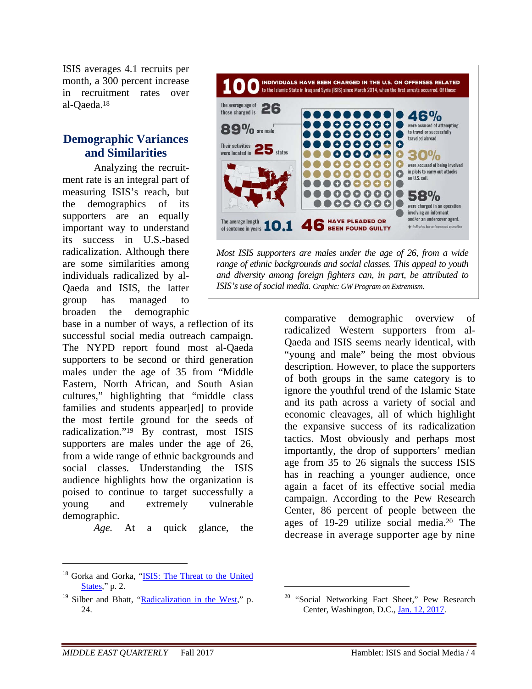ISIS averages 4.1 recruits per month, a 300 percent increase in recruitment rates over al-Qaeda.18

## **Demographic Variances and Similarities**

Analyzing the recruitment rate is an integral part of measuring ISIS's reach, but the demographics of its supporters are an equally important way to understand its success in U.S.-based radicalization. Although there are some similarities among individuals radicalized by al-Qaeda and ISIS, the latter group has managed to broaden the demographic

base in a number of ways, a reflection of its successful social media outreach campaign. The NYPD report found most al-Qaeda supporters to be second or third generation males under the age of 35 from "Middle Eastern, North African, and South Asian cultures," highlighting that "middle class families and students appear[ed] to provide the most fertile ground for the seeds of radicalization."19 By contrast, most ISIS supporters are males under the age of 26, from a wide range of ethnic backgrounds and social classes. Understanding the ISIS audience highlights how the organization is poised to continue to target successfully a young and extremely vulnerable demographic.

*Age.* At a quick glance, the



<sup>&</sup>lt;sup>19</sup> Silber and Bhatt, "Radicalization in the West," p. 24.



*Most ISIS supporters are males under the age of 26, from a wide range of ethnic backgrounds and social classes. This appeal to youth and diversity among foreign fighters can, in part, be attributed to ISIS's use of social media. Graphic: GW Program on Extremism.*

comparative demographic overview of radicalized Western supporters from al-Qaeda and ISIS seems nearly identical, with "young and male" being the most obvious description. However, to place the supporters of both groups in the same category is to ignore the youthful trend of the Islamic State and its path across a variety of social and economic cleavages, all of which highlight the expansive success of its radicalization tactics. Most obviously and perhaps most importantly, the drop of supporters' median age from 35 to 26 signals the success ISIS has in reaching a younger audience, once again a facet of its effective social media campaign. According to the Pew Research Center, 86 percent of people between the ages of 19-29 utilize social media.20 The decrease in average supporter age by nine

 $\overline{a}$ 

<sup>&</sup>lt;sup>20</sup> "Social Networking Fact Sheet," Pew Research Center, Washington, D.C., Jan. 12, 2017.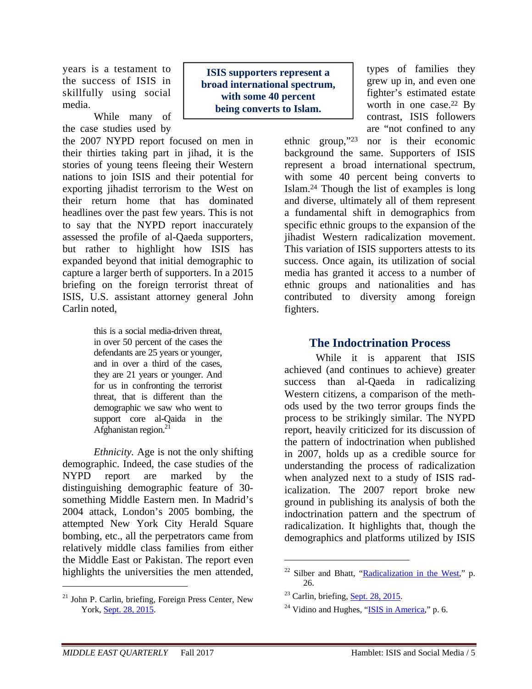years is a testament to the success of ISIS in skillfully using social media.

While many of the case studies used by

the 2007 NYPD report focused on men in their thirties taking part in jihad, it is the stories of young teens fleeing their Western nations to join ISIS and their potential for exporting jihadist terrorism to the West on their return home that has dominated headlines over the past few years. This is not to say that the NYPD report inaccurately assessed the profile of al-Qaeda supporters, but rather to highlight how ISIS has expanded beyond that initial demographic to capture a larger berth of supporters. In a 2015 briefing on the foreign terrorist threat of ISIS, U.S. assistant attorney general John Carlin noted,

> this is a social media-driven threat, in over 50 percent of the cases the defendants are 25 years or younger, and in over a third of the cases, they are 21 years or younger. And for us in confronting the terrorist threat, that is different than the demographic we saw who went to support core al-Qaida in the Afghanistan region.<sup>21</sup>

*Ethnicity.* Age is not the only shifting demographic. Indeed, the case studies of the NYPD report are marked by the distinguishing demographic feature of 30 something Middle Eastern men. In Madrid's 2004 attack, London's 2005 bombing, the attempted New York City Herald Square bombing, etc., all the perpetrators came from relatively middle class families from either the Middle East or Pakistan. The report even highlights the universities the men attended,

21 John P. Carlin, briefing, Foreign Press Center, New York, Sept. 28, 2015.

**ISIS supporters represent a broad international spectrum, with some 40 percent being converts to Islam.** 

types of families they grew up in, and even one fighter's estimated estate worth in one case.<sup>22</sup> By contrast, ISIS followers are "not confined to any

ethnic group,"23 nor is their economic background the same. Supporters of ISIS represent a broad international spectrum, with some 40 percent being converts to Islam.24 Though the list of examples is long and diverse, ultimately all of them represent a fundamental shift in demographics from specific ethnic groups to the expansion of the jihadist Western radicalization movement. This variation of ISIS supporters attests to its success. Once again, its utilization of social media has granted it access to a number of ethnic groups and nationalities and has contributed to diversity among foreign fighters.

#### **The Indoctrination Process**

While it is apparent that ISIS achieved (and continues to achieve) greater success than al-Qaeda in radicalizing Western citizens, a comparison of the methods used by the two terror groups finds the process to be strikingly similar. The NYPD report, heavily criticized for its discussion of the pattern of indoctrination when published in 2007, holds up as a credible source for understanding the process of radicalization when analyzed next to a study of ISIS radicalization. The 2007 report broke new ground in publishing its analysis of both the indoctrination pattern and the spectrum of radicalization. It highlights that, though the demographics and platforms utilized by ISIS

 $\overline{a}$ 

 $22$  Silber and Bhatt, "Radicalization in the West," p. 26.

 $23$  Carlin, briefing, Sept. 28, 2015.

 $24$  Vidino and Hughes, "ISIS in America," p. 6.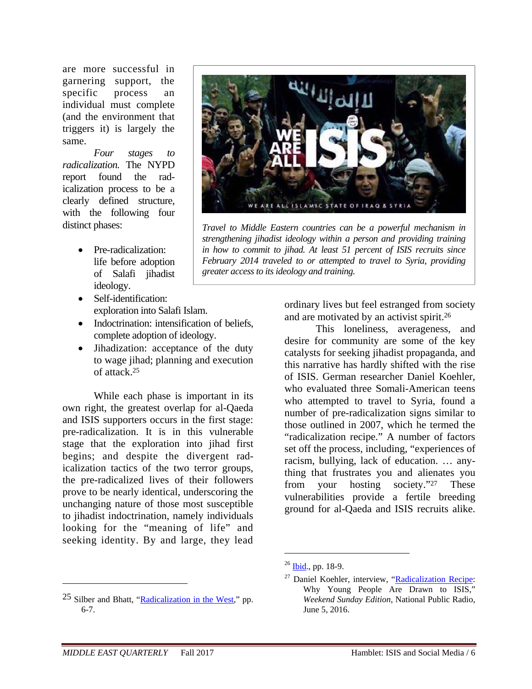are more successful in garnering support, the specific process an individual must complete (and the environment that triggers it) is largely the same.

*Four stages to radicalization.* The NYPD report found the radicalization process to be a clearly defined structure, with the following four distinct phases:

- Pre-radicalization: life before adoption of Salafi jihadist ideology.
- Self-identification: exploration into Salafi Islam.
- Indoctrination: intensification of beliefs, complete adoption of ideology.
- Jihadization: acceptance of the duty to wage jihad; planning and execution of attack.25

While each phase is important in its own right, the greatest overlap for al-Qaeda and ISIS supporters occurs in the first stage: pre-radicalization. It is in this vulnerable stage that the exploration into jihad first begins; and despite the divergent radicalization tactics of the two terror groups, the pre-radicalized lives of their followers prove to be nearly identical, underscoring the unchanging nature of those most susceptible to jihadist indoctrination, namely individuals looking for the "meaning of life" and seeking identity. By and large, they lead



*Travel to Middle Eastern countries can be a powerful mechanism in strengthening jihadist ideology within a person and providing training in how to commit to jihad. At least 51 percent of ISIS recruits since February 2014 traveled to or attempted to travel to Syria, providing greater access to its ideology and training.*

ordinary lives but feel estranged from society and are motivated by an activist spirit.26

This loneliness, averageness, and desire for community are some of the key catalysts for seeking jihadist propaganda, and this narrative has hardly shifted with the rise of ISIS. German researcher Daniel Koehler, who evaluated three Somali-American teens who attempted to travel to Syria, found a number of pre-radicalization signs similar to those outlined in 2007, which he termed the "radicalization recipe." A number of factors set off the process, including, "experiences of racism, bullying, lack of education. … anything that frustrates you and alienates you from your hosting society."27 These vulnerabilities provide a fertile breeding ground for al-Qaeda and ISIS recruits alike.

 $\overline{a}$ 

<sup>25</sup> Silber and Bhatt, "Radicalization in the West," pp. 6-7.

 $^{26}$  Ibid., pp. 18-9.

<sup>&</sup>lt;sup>27</sup> Daniel Koehler, interview, "Radicalization Recipe: Why Young People Are Drawn to ISIS," *Weekend Sunday Edition*, National Public Radio, June 5, 2016.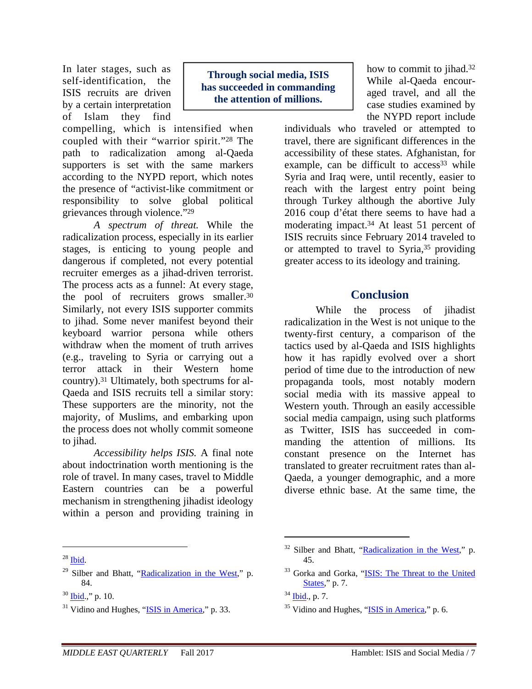In later stages, such as self-identification, the ISIS recruits are driven by a certain interpretation of Islam they find

compelling, which is intensified when coupled with their "warrior spirit."28 The path to radicalization among al-Qaeda supporters is set with the same markers according to the NYPD report, which notes the presence of "activist-like commitment or responsibility to solve global political grievances through violence."29

*A spectrum of threat.* While the radicalization process, especially in its earlier stages, is enticing to young people and dangerous if completed, not every potential recruiter emerges as a jihad-driven terrorist. The process acts as a funnel: At every stage, the pool of recruiters grows smaller.<sup>30</sup> Similarly, not every ISIS supporter commits to jihad. Some never manifest beyond their keyboard warrior persona while others withdraw when the moment of truth arrives (e.g., traveling to Syria or carrying out a terror attack in their Western home country).31 Ultimately, both spectrums for al-Qaeda and ISIS recruits tell a similar story: These supporters are the minority, not the majority, of Muslims, and embarking upon the process does not wholly commit someone to jihad.

*Accessibility helps ISIS.* A final note about indoctrination worth mentioning is the role of travel. In many cases, travel to Middle Eastern countries can be a powerful mechanism in strengthening jihadist ideology within a person and providing training in

 $28$  Ibid.

1

 $29$  Silber and Bhatt, "Radicalization in the West," p. 84.

**Through social media, ISIS has succeeded in commanding the attention of millions.** 

how to commit to jihad.<sup>32</sup> While al-Qaeda encouraged travel, and all the case studies examined by the NYPD report include

individuals who traveled or attempted to travel, there are significant differences in the accessibility of these states. Afghanistan, for example, can be difficult to  $access^{33}$  while Syria and Iraq were, until recently, easier to reach with the largest entry point being through Turkey although the abortive July 2016 coup d'état there seems to have had a moderating impact.34 At least 51 percent of ISIS recruits since February 2014 traveled to or attempted to travel to Syria,<sup>35</sup> providing greater access to its ideology and training.

#### **Conclusion**

While the process of jihadist radicalization in the West is not unique to the twenty-first century, a comparison of the tactics used by al-Qaeda and ISIS highlights how it has rapidly evolved over a short period of time due to the introduction of new propaganda tools, most notably modern social media with its massive appeal to Western youth. Through an easily accessible social media campaign, using such platforms as Twitter, ISIS has succeeded in commanding the attention of millions. Its constant presence on the Internet has translated to greater recruitment rates than al-Qaeda, a younger demographic, and a more diverse ethnic base. At the same time, the

 $30$  Ibid.," p. 10.

 $31$  Vidino and Hughes, "ISIS in America," p. 33.

 $32$  Silber and Bhatt, "Radicalization in the West," p. 45.

<sup>33</sup> Gorka and Gorka, "ISIS: The Threat to the United States," p. 7.

 $34$  Ibid., p. 7.

 $35$  Vidino and Hughes, "ISIS in America," p. 6.